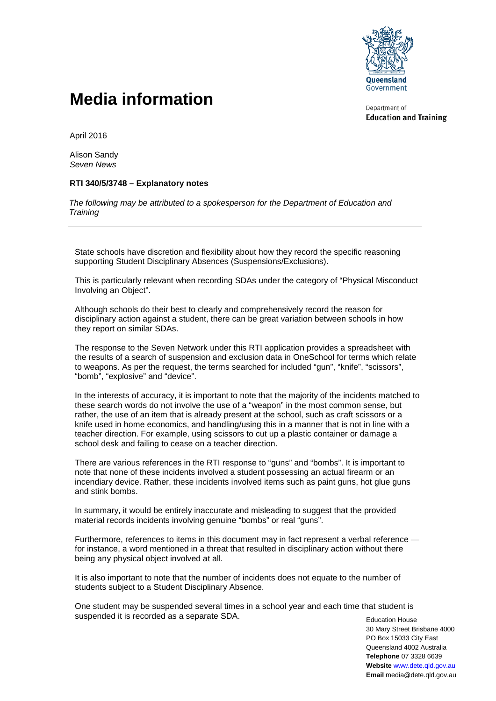

## **Media information**

Department of **Education and Training** 

April 2016

Alison Sandy *Seven News*

## **RTI 340/5/3748 – Explanatory notes**

*The following may be attributed to a spokesperson for the Department of Education and Training* 

State schools have discretion and flexibility about how they record the specific reasoning supporting Student Disciplinary Absences (Suspensions/Exclusions).

This is particularly relevant when recording SDAs under the category of "Physical Misconduct Involving an Object".

Although schools do their best to clearly and comprehensively record the reason for disciplinary action against a student, there can be great variation between schools in how they report on similar SDAs.

The response to the Seven Network under this RTI application provides a spreadsheet with the results of a search of suspension and exclusion data in OneSchool for terms which relate to weapons. As per the request, the terms searched for included "gun", "knife", "scissors", "bomb", "explosive" and "device".

In the interests of accuracy, it is important to note that the majority of the incidents matched to these search words do not involve the use of a "weapon" in the most common sense, but rather, the use of an item that is already present at the school, such as craft scissors or a knife used in home economics, and handling/using this in a manner that is not in line with a teacher direction. For example, using scissors to cut up a plastic container or damage a school desk and failing to cease on a teacher direction.

There are various references in the RTI response to "guns" and "bombs". It is important to note that none of these incidents involved a student possessing an actual firearm or an incendiary device. Rather, these incidents involved items such as paint guns, hot glue guns and stink bombs.

In summary, it would be entirely inaccurate and misleading to suggest that the provided material records incidents involving genuine "bombs" or real "guns".

Furthermore, references to items in this document may in fact represent a verbal reference for instance, a word mentioned in a threat that resulted in disciplinary action without there being any physical object involved at all.

It is also important to note that the number of incidents does not equate to the number of students subject to a Student Disciplinary Absence.

Education House One student may be suspended several times in a school year and each time that student is suspended it is recorded as a separate SDA.

30 Mary Street Brisbane 4000 PO Box 15033 City East Queensland 4002 Australia **Telephone** 07 3328 6639 **Website** [www.dete.qld.gov.au](http://www.dete.qld.gov.au/) **Email** media@dete.qld.gov.au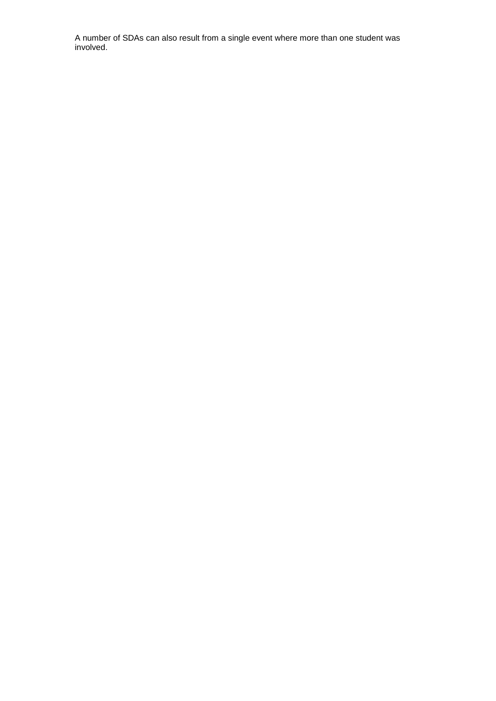A number of SDAs can also result from a single event where more than one student was involved.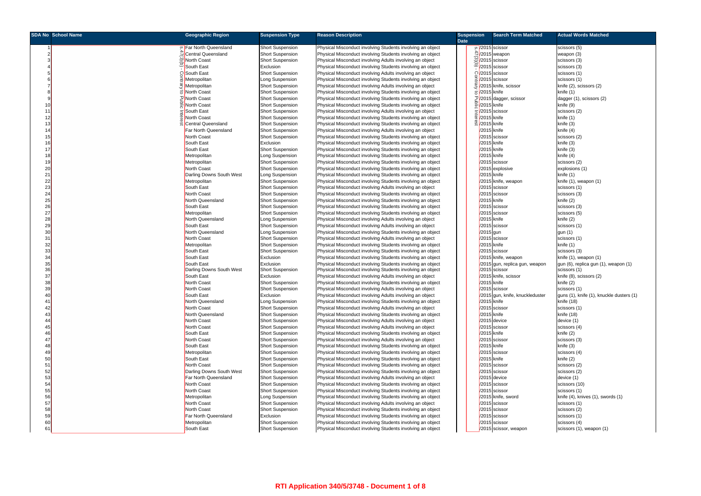|          | <b>SDA No School Name</b> | <b>Geographic Region</b>                    | <b>Suspension Type</b>                             | <b>Reason Description</b>                                                                                                | <b>Suspension</b> |                                                          | <b>Search Term Matched</b>                                                                  | <b>Actual Words Matched</b>                          |
|----------|---------------------------|---------------------------------------------|----------------------------------------------------|--------------------------------------------------------------------------------------------------------------------------|-------------------|----------------------------------------------------------|---------------------------------------------------------------------------------------------|------------------------------------------------------|
|          |                           | P Far North Queensland                      |                                                    |                                                                                                                          | <b>Date</b>       | ο 2015 scissor                                           |                                                                                             |                                                      |
|          |                           |                                             | <b>Short Suspension</b>                            | Physical Misconduct involving Students involving an object                                                               |                   |                                                          |                                                                                             | scissors (5)                                         |
|          |                           | Oentral Queensland<br>North Coast           | <b>Short Suspension</b>                            | Physical Misconduct involving Students involving an object                                                               |                   |                                                          |                                                                                             | weapon (3)                                           |
|          |                           | South East                                  | <b>Short Suspension</b>                            | Physical Misconduct involving Adults involving an object<br>Physical Misconduct involving Students involving an object   |                   |                                                          | $\frac{20}{20}$ /2015 weapon<br>$\frac{60}{5}$ /2015 scissor<br>$\frac{1}{2}$ /2015 scissor | scissors (3)                                         |
|          |                           | ွ South East                                | Exclusion<br><b>Short Suspension</b>               |                                                                                                                          |                   | C/2015 scissor                                           |                                                                                             | scissors (3)<br>scissors (1)                         |
|          |                           | Metropolitan                                |                                                    | Physical Misconduct involving Adults involving an object                                                                 |                   |                                                          |                                                                                             |                                                      |
|          |                           |                                             | Long Suspension                                    | Physical Misconduct involving Students involving an object                                                               |                   | 글 /2015 scissor                                          |                                                                                             | scissors (1)                                         |
|          |                           | Metropolitan                                | <b>Short Suspension</b>                            | Physical Misconduct involving Adults involving an object                                                                 |                   |                                                          | 운 /2015 knife, scissor                                                                      | knife (2), scissors (2)                              |
|          |                           | 6 North Coast<br>고 <mark>North Coast</mark> | <b>Short Suspension</b>                            | Physical Misconduct involving Students involving an object                                                               |                   | ក្ត /2015 knife                                          | 고/2015 dagger, scissor                                                                      | knife (1)                                            |
|          |                           | <mark>≩</mark> North Coast                  | <b>Short Suspension</b>                            | Physical Misconduct involving Students involving an object                                                               |                   | $\frac{1}{2}$ /2015 knife                                |                                                                                             | dagger (1), scissors (2)<br>knife (9)                |
|          |                           | South East                                  | <b>Short Suspension</b>                            | Physical Misconduct involving Students involving an object<br>Physical Misconduct involving Adults involving an object   |                   |                                                          |                                                                                             |                                                      |
| 12       |                           | North Coast                                 | <b>Short Suspension</b><br><b>Short Suspension</b> |                                                                                                                          |                   | $\frac{1}{5}$ /2015 scissor<br>$\frac{1}{3}$ /2015 knife |                                                                                             | scissors (2)                                         |
| 13       |                           | Central Queensland                          | <b>Short Suspension</b>                            | Physical Misconduct involving Students involving an object<br>Physical Misconduct involving Students involving an object |                   | ¤ /2015 knife                                            |                                                                                             | knife (1)<br>knife (3)                               |
| 14       |                           | Far North Queensland                        | <b>Short Suspension</b>                            | Physical Misconduct involving Adults involving an object                                                                 |                   | /2015 knife                                              |                                                                                             | knife (4)                                            |
|          |                           | North Coast                                 | <b>Short Suspension</b>                            | Physical Misconduct involving Students involving an object                                                               |                   |                                                          | /2015 scissor                                                                               | scissors (2)                                         |
| 16       |                           | South East                                  | Exclusion                                          | Physical Misconduct involving Students involving an object                                                               |                   | /2015 knife                                              |                                                                                             | knife (3)                                            |
| 17       |                           | South East                                  | <b>Short Suspension</b>                            |                                                                                                                          |                   | /2015 knife                                              |                                                                                             | knife (3)                                            |
| 18       |                           | Metropolitan                                | Long Suspension                                    | Physical Misconduct involving Students involving an object<br>Physical Misconduct involving Students involving an object |                   | /2015 knife                                              |                                                                                             | knife (4)                                            |
| 19       |                           | Metropolitan                                |                                                    | Physical Misconduct involving Students involving an object                                                               |                   |                                                          | /2015 scissor                                                                               | scissors (2)                                         |
| 20       |                           | North Coast                                 | <b>Short Suspension</b>                            |                                                                                                                          |                   |                                                          | $\sqrt{2015}$ explosive                                                                     |                                                      |
| 21       |                           | Darling Downs South West                    | <b>Short Suspension</b>                            | Physical Misconduct involving Students involving an object<br>Physical Misconduct involving Students involving an object |                   | /2015 knife                                              |                                                                                             | explosions (1)<br>knife (1)                          |
| 22       |                           | Metropolitan                                | Long Suspension<br><b>Short Suspension</b>         | Physical Misconduct involving Students involving an object                                                               |                   |                                                          | /2015 knife, weapon                                                                         | knife $(1)$ , weapon $(1)$                           |
| 23       |                           | South East                                  |                                                    | Physical Misconduct involving Adults involving an object                                                                 |                   |                                                          | /2015 scissor                                                                               |                                                      |
| 24       |                           | North Coast                                 | <b>Short Suspension</b><br><b>Short Suspension</b> |                                                                                                                          |                   |                                                          | /2015 scissor                                                                               | scissors (1)<br>scissors (3)                         |
| 25       |                           | North Queensland                            |                                                    | Physical Misconduct involving Students involving an object                                                               |                   | /2015 knife                                              |                                                                                             |                                                      |
|          |                           |                                             | <b>Short Suspension</b>                            | Physical Misconduct involving Students involving an object                                                               |                   |                                                          |                                                                                             | knife (2)                                            |
| 26<br>27 |                           | South East                                  | <b>Short Suspension</b>                            | Physical Misconduct involving Students involving an object                                                               |                   |                                                          | /2015 scissor                                                                               | scissors (3)                                         |
| 28       |                           | Metropolitan<br>North Queensland            | <b>Short Suspension</b>                            | Physical Misconduct involving Students involving an object                                                               |                   | /2015 knife                                              | /2015 scissor                                                                               | scissors (5)<br>knife (2)                            |
|          |                           | South East                                  | Long Suspension                                    | Physical Misconduct involving Adults involving an object                                                                 |                   |                                                          | /2015 scissor                                                                               |                                                      |
| 29<br>30 |                           | North Queensland                            | <b>Short Suspension</b>                            | Physical Misconduct involving Adults involving an object                                                                 |                   |                                                          |                                                                                             | scissors (1)                                         |
| 31       |                           | North Coast                                 | Long Suspension                                    | Physical Misconduct involving Students involving an object                                                               |                   | /2015 gun                                                | /2015 scissor                                                                               | gun (1)                                              |
|          |                           |                                             | <b>Short Suspension</b>                            | Physical Misconduct involving Adults involving an object                                                                 |                   | /2015 knife                                              |                                                                                             | scissors (1)                                         |
| 32<br>33 |                           | Metropolitan<br>South East                  | <b>Short Suspension</b><br><b>Short Suspension</b> | Physical Misconduct involving Students involving an object                                                               |                   |                                                          | /2015 scissor                                                                               | knife (1)<br>scissors (3)                            |
| 34       |                           | South East                                  | Exclusion                                          | Physical Misconduct involving Students involving an object<br>Physical Misconduct involving Students involving an object |                   |                                                          | /2015 knife, weapon                                                                         | knife $(1)$ , weapon $(1)$                           |
| 35       |                           | South East                                  | Exclusion                                          | Physical Misconduct involving Students involving an object                                                               |                   |                                                          |                                                                                             |                                                      |
| 36       |                           | Darling Downs South West                    | <b>Short Suspension</b>                            | Physical Misconduct involving Students involving an object                                                               |                   |                                                          | /2015 gun, replica gun, weapon<br>/2015 scissor                                             | gun (6), replica gun (1), weapon (1)<br>scissors (1) |
| 37       |                           | South East                                  | Exclusion                                          | Physical Misconduct involving Adults involving an object                                                                 |                   |                                                          | /2015 knife, scissor                                                                        | knife (8), scissors (2)                              |
| 38       |                           | North Coast                                 | <b>Short Suspension</b>                            | Physical Misconduct involving Students involving an object                                                               |                   | /2015 knife                                              |                                                                                             | knife (2)                                            |
| 39       |                           | North Coast                                 | <b>Short Suspension</b>                            | Physical Misconduct involving Adults involving an object                                                                 |                   |                                                          | /2015 scissor                                                                               | scissors (1)                                         |
|          |                           | South East                                  | Exclusion                                          | Physical Misconduct involving Adults involving an object                                                                 |                   |                                                          | /2015 aun. knife. knuckleduster                                                             | guns (1), knife (1), knuckle dusters (1)             |
| 41       |                           | North Queensland                            | Long Suspension                                    | Physical Misconduct involving Students involving an object                                                               |                   | /2015 knife                                              |                                                                                             | knife (18)                                           |
| 42       |                           | North Coast                                 | <b>Short Suspension</b>                            | Physical Misconduct involving Adults involving an object                                                                 |                   |                                                          | /2015 scissor                                                                               | scissors (1)                                         |
|          |                           | North Queensland                            | <b>Short Suspension</b>                            | Physical Misconduct involving Students involving an object                                                               |                   | /2015 knife                                              |                                                                                             | knife (18)                                           |
| 44       |                           | North Coast                                 | <b>Short Suspension</b>                            | Physical Misconduct involving Adults involving an object                                                                 |                   |                                                          | $/2015$ device                                                                              | device (1)                                           |
|          |                           | North Coast                                 | <b>Short Suspension</b>                            | Physical Misconduct involving Adults involving an object                                                                 |                   |                                                          | /2015 scissor                                                                               | scissors (4)                                         |
| 46       |                           | South East                                  | <b>Short Suspension</b>                            | Physical Misconduct involving Students involving an object                                                               |                   | /2015 knife                                              |                                                                                             | knife (2)                                            |
| 47       |                           | North Coast                                 | <b>Short Suspension</b>                            | Physical Misconduct involving Adults involving an object                                                                 |                   |                                                          | /2015 scissor                                                                               | scissors (3)                                         |
|          |                           | South East                                  | <b>Short Suspension</b>                            | Physical Misconduct involving Students involving an object                                                               |                   | /2015 knife                                              |                                                                                             | knife (3)                                            |
| 49       |                           | Metropolitan                                | <b>Short Suspension</b>                            | Physical Misconduct involving Students involving an object                                                               |                   |                                                          | /2015 scissor                                                                               | scissors (4)                                         |
| 50       |                           | South East                                  | <b>Short Suspension</b>                            | Physical Misconduct involving Students involving an object                                                               |                   | $/2015$ knife                                            |                                                                                             | knife (2)                                            |
| 51       |                           | North Coast                                 | <b>Short Suspension</b>                            | Physical Misconduct involving Students involving an object                                                               |                   |                                                          | /2015 scissor                                                                               | scissors (2)                                         |
| 52       |                           | Darling Downs South West                    | <b>Short Suspension</b>                            | Physical Misconduct involving Students involving an object                                                               |                   |                                                          | /2015 scissor                                                                               | scissors (2)                                         |
| 53       |                           | Far North Queensland                        | <b>Short Suspension</b>                            | Physical Misconduct involving Adults involving an object                                                                 |                   |                                                          | $\sqrt{2015}$ device                                                                        | device (1)                                           |
| 54       |                           | North Coast                                 | <b>Short Suspension</b>                            | Physical Misconduct involving Students involving an object                                                               |                   |                                                          | /2015 scissor                                                                               | scissors (10)                                        |
| 55       |                           | North Coast                                 | <b>Short Suspension</b>                            | Physical Misconduct involving Students involving an object                                                               |                   |                                                          | /2015 scissor                                                                               | scissors (1)                                         |
| 56       |                           | Metropolitan                                | Long Suspension                                    | Physical Misconduct involving Students involving an object                                                               |                   |                                                          | /2015 knife, sword                                                                          | knife (4), knives (1), swords (1)                    |
| 57       |                           | North Coast                                 | <b>Short Suspension</b>                            | Physical Misconduct involving Adults involving an object                                                                 |                   |                                                          | /2015 scissor                                                                               | scissors (1)                                         |
| 58       |                           | North Coast                                 | <b>Short Suspension</b>                            | Physical Misconduct involving Students involving an object                                                               |                   |                                                          | /2015 scissor                                                                               | scissors (2)                                         |
| 59       |                           | Far North Queensland                        | Exclusion                                          | Physical Misconduct involving Students involving an object                                                               |                   |                                                          | /2015 scissor                                                                               | scissors (1)                                         |
| 60       |                           | Metropolitan                                | <b>Short Suspension</b>                            | Physical Misconduct involving Students involving an object                                                               |                   |                                                          | /2015 scissor                                                                               | scissors (4)                                         |
| 61       |                           | South East                                  | <b>Short Suspension</b>                            | Physical Misconduct involving Students involving an object                                                               |                   |                                                          | /2015 scissor, weapon                                                                       | scissors (1), weapon (1)                             |
|          |                           |                                             |                                                    |                                                                                                                          |                   |                                                          |                                                                                             |                                                      |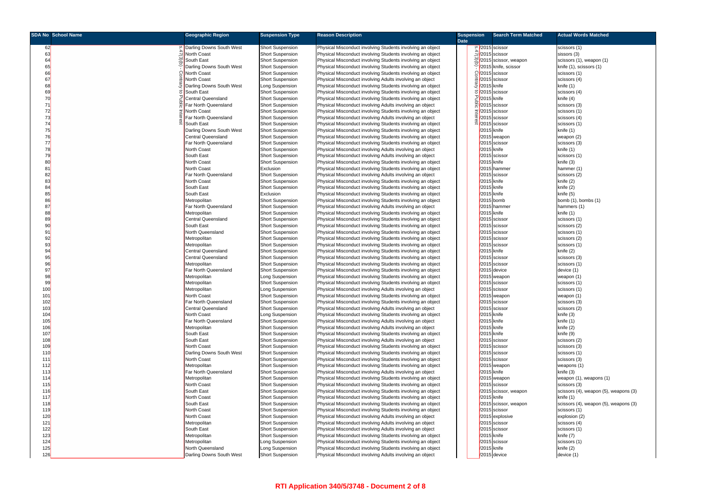|          | <b>SDA No School Name</b> | <b>Geographic Region</b>            | <b>Suspension Type</b>                     | <b>Reason Description</b>                                                                                                | <b>Suspension</b> | <b>Search Term Matched</b>      | <b>Actual Words Matched</b>           |
|----------|---------------------------|-------------------------------------|--------------------------------------------|--------------------------------------------------------------------------------------------------------------------------|-------------------|---------------------------------|---------------------------------------|
|          |                           |                                     |                                            |                                                                                                                          | <b>Date</b>       |                                 |                                       |
| 62       |                           | Darling Downs South West            | <b>Short Suspension</b>                    | Physical Misconduct involving Students involving an object                                                               |                   | $\frac{\text{6}}{2015}$ scissor | scissors (1)                          |
| 63       |                           | <b>North Coast</b>                  | <b>Short Suspension</b>                    | Physical Misconduct involving Students involving an object                                                               |                   | $\frac{1}{\omega}$ 2015 scissor | sissors (3)                           |
| 64       |                           | South East                          | <b>Short Suspension</b>                    | Physical Misconduct involving Students involving an object                                                               |                   | $\approx$ /2015 scissor, weapon | scissors (1), weapon (1)              |
| 65       |                           | Darling Downs South West            | <b>Short Suspension</b>                    | Physical Misconduct involving Students involving an object                                                               |                   | V2015 knife, scissor            | knife (1), scissors (1)               |
| 66       |                           | <b>North Coast</b>                  | <b>Short Suspension</b>                    | Physical Misconduct involving Students involving an object                                                               |                   | $Q$ /2015 scissor               | scissors (1)                          |
| 67       |                           | North Coast                         | <b>Short Suspension</b>                    | Physical Misconduct involving Adults involving an object                                                                 |                   | $\frac{3}{2}$ /2015 scissor     | scissors (4)                          |
| 68       |                           | Darling Downs South West            | Long Suspension                            | Physical Misconduct involving Students involving an object                                                               |                   | <i>ಫೆ  </i> /2015 knife         | knife (1)                             |
| 69       |                           | South East                          | <b>Short Suspension</b>                    | Physical Misconduct involving Students involving an object                                                               |                   | $\sigma$ /2015 scissor          | scissors (4)                          |
| 70       |                           | <b>Central Queensland</b>           | <b>Short Suspension</b>                    | Physical Misconduct involving Students involving an object                                                               |                   | $2$ /2015 knife                 | knife (4)                             |
| 71       |                           | Far North Queensland                | <b>Short Suspension</b>                    | Physical Misconduct involving Adults involving an object                                                                 |                   | $\frac{2015}{2015}$ scissor     | scissors (3)                          |
| 72       |                           | <b>North Coast</b>                  | <b>Short Suspension</b>                    | Physical Misconduct involving Students involving an object                                                               |                   | $\overline{5}$ /2015 scissor    | scissors (1)                          |
| 73       |                           | Far North Queensland                | <b>Short Suspension</b>                    | Physical Misconduct involving Adults involving an object                                                                 |                   | 2015 scissor                    | scissors (4)                          |
| 74       |                           | South East                          | <b>Short Suspension</b>                    | Physical Misconduct involving Students involving an object                                                               |                   | $\frac{\alpha}{2015}$ scissor   | scissors (1)                          |
| 75       |                           | Darling Downs South West            | <b>Short Suspension</b>                    | Physical Misconduct involving Students involving an object                                                               |                   | /2015 knife                     | knife (1)                             |
| 76       |                           | Central Queensland                  | <b>Short Suspension</b>                    | Physical Misconduct involving Students involving an object                                                               |                   | $\frac{2015}{1000}$ weapon      | weapon $(2)$                          |
| 77       |                           | Far North Queensland                | <b>Short Suspension</b>                    | Physical Misconduct involving Students involving an object                                                               |                   | /2015 scissor                   | scissors (3)                          |
| 78       |                           | North Coast                         | <b>Short Suspension</b>                    | Physical Misconduct involving Adults involving an object                                                                 |                   | /2015 knife                     | knife (1)                             |
| 79       |                           | South East                          | <b>Short Suspension</b>                    | Physical Misconduct involving Adults involving an object                                                                 |                   | /2015 scissor                   | scissors (1)                          |
| 80       |                           | <b>North Coast</b>                  | <b>Short Suspension</b>                    | Physical Misconduct involving Students involving an object                                                               |                   | /2015 knife                     | knife (3)                             |
| 81       |                           | North Coast                         | Exclusion                                  | Physical Misconduct involving Students involving an object                                                               |                   | /2015 hammer                    | hammer (1)                            |
| 82       |                           | Far North Queensland                | <b>Short Suspension</b>                    | Physical Misconduct involving Adults involving an object                                                                 |                   | /2015 scissor                   | scissors (2)                          |
| 83       |                           | North Coast                         | <b>Short Suspension</b>                    | Physical Misconduct involving Students involving an object                                                               |                   | $\sqrt{2015}$ knife             | knife (2)                             |
| 84       |                           | South East                          | <b>Short Suspension</b>                    | Physical Misconduct involving Students involving an object                                                               |                   | /2015 knife                     | knife (2)                             |
| 85       |                           | South East                          | Exclusion                                  | Physical Misconduct involving Students involving an object                                                               |                   | /2015 knife                     | knife (5)                             |
| 86       |                           | Metropolitan                        | <b>Short Suspension</b>                    | Physical Misconduct involving Students involving an object                                                               |                   | /2015 bomb                      | bomb $(1)$ , bombs $(1)$              |
| 87       |                           | Far North Queensland                | <b>Short Suspension</b>                    | Physical Misconduct involving Adults involving an object                                                                 |                   | /2015 hammer                    | hammers (1)                           |
| 88       |                           | Metropolitan                        | <b>Short Suspension</b>                    | Physical Misconduct involving Students involving an object                                                               |                   | /2015 knife                     | knife (1)                             |
| 89       |                           | <b>Central Queensland</b>           | <b>Short Suspension</b>                    | Physical Misconduct involving Students involving an object                                                               |                   | /2015 scissor                   | scissors (1)                          |
| 90       |                           | South East                          | <b>Short Suspension</b>                    | Physical Misconduct involving Students involving an object                                                               |                   | /2015 scissor                   | scissors (2)                          |
| 91       |                           | North Queensland                    | <b>Short Suspension</b>                    | Physical Misconduct involving Students involving an object                                                               |                   | /2015 scissor                   | scissors (1)                          |
| 92       |                           | Metropolitan                        | <b>Short Suspension</b>                    | Physical Misconduct involving Students involving an object                                                               |                   | /2015 scissor                   | scissors (2)                          |
| 93       |                           | Metropolitan                        | <b>Short Suspension</b>                    | Physical Misconduct involving Students involving an object                                                               |                   | $\sqrt{2015}$ scissor           | scissors (1)                          |
| 94       |                           | Central Queensland                  | <b>Short Suspension</b>                    | Physical Misconduct involving Students involving an object                                                               |                   | /2015 knife                     | knife (2)                             |
| 95       |                           | <b>Central Queensland</b>           | <b>Short Suspension</b>                    | Physical Misconduct involving Students involving an object                                                               |                   | /2015 scissor                   | scissors (3)                          |
| 96       |                           | Metropolitan                        | <b>Short Suspension</b>                    | Physical Misconduct involving Students involving an object                                                               |                   | /2015 scissor                   | scissors (1)                          |
| 97       |                           | Far North Queensland                | <b>Short Suspension</b>                    | Physical Misconduct involving Students involving an object                                                               |                   | $\sqrt{2015}$ device            | device (1)                            |
| 98<br>99 |                           | Metropolitan                        | Long Suspension                            | Physical Misconduct involving Students involving an object<br>Physical Misconduct involving Students involving an object |                   | $/2015$ weapon<br>scissor       | weapon (1)                            |
| 100      |                           | <b>Metropolitan</b><br>Metropolitan | <b>Short Suspension</b><br>Long Suspension | Physical Misconduct involving Adults involving an object                                                                 | V201              | /2015 scissor                   | scissors (1)<br>scissors (1)          |
| 101      |                           | North Coast                         | <b>Short Suspension</b>                    | Physical Misconduct involving Students involving an object                                                               |                   | $\sqrt{2015}$ weapon            | weapon (1)                            |
| 102      |                           | Far North Queensland                | <b>Short Suspension</b>                    | Physical Misconduct involving Students involving an object                                                               |                   | /2015 scissor                   | scissors (3)                          |
| 103      |                           | <b>Central Queensland</b>           | <b>Short Suspension</b>                    | Physical Misconduct involving Adults involving an object                                                                 |                   | /2015 scissor                   | scissors (2)                          |
| 104      |                           | North Coast                         | Long Suspension                            | Physical Misconduct involving Students involving an object                                                               |                   | $/2015$ knife                   | knife (3)                             |
| 105      |                           | Far North Queensland                | <b>Short Suspension</b>                    | Physical Misconduct involving Adults involving an object                                                                 |                   | $/2015$ knife                   | knife (1)                             |
| 106      |                           | Metropolitan                        | <b>Short Suspension</b>                    | Physical Misconduct involving Adults involving an object                                                                 |                   | /2015 knife                     | knife (2)                             |
| 107      |                           | South East                          | <b>Short Suspension</b>                    | Physical Misconduct involving Students involving an object                                                               |                   | /2015 knife                     | knife (9)                             |
| 108      |                           | South East                          | <b>Short Suspension</b>                    | Physical Misconduct involving Adults involving an object                                                                 |                   | /2015 scissor                   | scissors (2)                          |
| 109      |                           | North Coast                         | <b>Short Suspension</b>                    | Physical Misconduct involving Students involving an object                                                               |                   | /2015 scissor                   | scissors (3)                          |
| 110      |                           | Darling Downs South West            | <b>Short Suspension</b>                    | Physical Misconduct involving Students involving an object                                                               |                   | /2015 scissor                   | scissors (1)                          |
| 111      |                           | North Coast                         | <b>Short Suspension</b>                    | Physical Misconduct involving Students involving an object                                                               |                   | /2015 scissor                   | scissors (3)                          |
| 112      |                           | Metropolitan                        | <b>Short Suspension</b>                    | Physical Misconduct involving Students involving an object                                                               |                   | $\frac{2015}{200}$ weapon       | weapons (1)                           |
| 113      |                           | Far North Queensland                | <b>Short Suspension</b>                    | Physical Misconduct involving Adults involving an object                                                                 |                   | $\sqrt{2015}$ knife             | knife (3)                             |
| 114      |                           | Metropolitan                        | <b>Short Suspension</b>                    | Physical Misconduct involving Students involving an object                                                               |                   | $/2015$ weapon                  | weapon (1), weapons (1)               |
| 115      |                           | North Coast                         | <b>Short Suspension</b>                    | Physical Misconduct involving Students involving an object                                                               |                   | /2015 scissor                   | scissors (3)                          |
| 116      |                           | South East                          | <b>Short Suspension</b>                    | Physical Misconduct involving Students involving an object                                                               |                   | /2015 scissor, weapon           | scissors (4), weapon (5), weapons (3) |
| 117      |                           | North Coast                         | <b>Short Suspension</b>                    | Physical Misconduct involving Students involving an object                                                               |                   | /2015 knife                     | knife (1)                             |
| 118      |                           | South East                          | <b>Short Suspension</b>                    | Physical Misconduct involving Students involving an object                                                               |                   | /2015 scissor, weapon           | scissors (4), weapon (5), weapons (3) |
| 119      |                           | North Coast                         | <b>Short Suspension</b>                    | Physical Misconduct involving Students involving an object                                                               |                   | /2015 scissor                   | scissors (1)                          |
| 120      |                           | North Coast                         | <b>Short Suspension</b>                    | Physical Misconduct involving Adults involving an object                                                                 |                   | /2015 explosive                 | explosion (2)                         |
| 121      |                           | Metropolitan                        | <b>Short Suspension</b>                    | Physical Misconduct involving Adults involving an object                                                                 |                   | /2015 scissor                   | scissors (4)                          |
| 122      |                           | South East                          | <b>Short Suspension</b>                    | Physical Misconduct involving Adults involving an object                                                                 |                   | /2015 scissor                   | scissors (1)                          |
| 123      |                           | Metropolitan                        | <b>Short Suspension</b>                    | Physical Misconduct involving Students involving an object                                                               |                   | $\sqrt{2015}$ knife             | knife (7)                             |
| 124      |                           | Metropolitan                        | Long Suspension                            | Physical Misconduct involving Students involving an object                                                               |                   | /2015 scissor                   | scissors (1)                          |
| 125      |                           | North Queensland                    | Long Suspension                            | Physical Misconduct involving Students involving an object                                                               |                   | /2015 knife                     | knife (2)                             |
| 126      |                           | Darling Downs South West            | <b>Short Suspension</b>                    | Physical Misconduct involving Adults involving an object                                                                 |                   | $\sqrt{2015}$ device            | device (1)                            |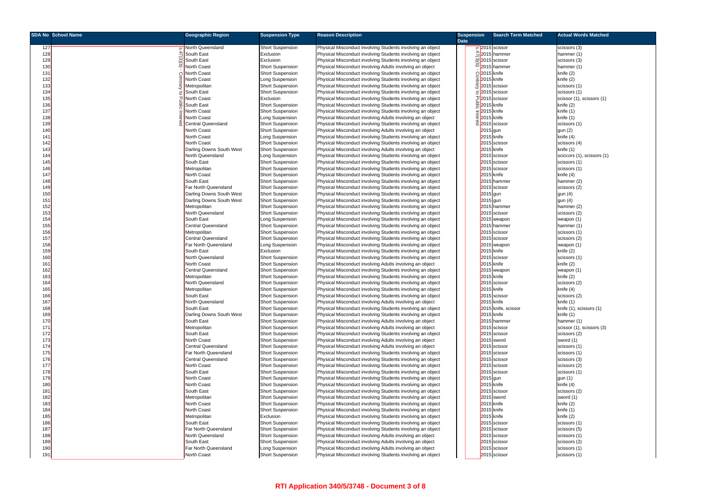|            | <b>SDA No School Name</b> | <b>Geographic Region</b>               | <b>Suspension Type</b>                             | <b>Reason Description</b>                                                                                                | <b>Suspension</b> |                          | <b>Search Term Matched</b>        | <b>Actual Words Matched</b> |
|------------|---------------------------|----------------------------------------|----------------------------------------------------|--------------------------------------------------------------------------------------------------------------------------|-------------------|--------------------------|-----------------------------------|-----------------------------|
|            |                           |                                        |                                                    |                                                                                                                          | <b>Date</b>       |                          |                                   |                             |
| 127        |                           | North Queensland                       | <b>Short Suspension</b>                            | Physical Misconduct involving Students involving an object                                                               |                   |                          | ∞ 2015 scissor                    | scissors (3)                |
| 128        |                           | South East                             | Exclusion                                          | Physical Misconduct involving Students involving an object                                                               |                   |                          | 식2015 hammer                      | hammer (1)                  |
| 129        |                           | South East                             | Exclusion                                          | Physical Misconduct involving Students involving an object                                                               |                   |                          | $\frac{60}{2}$ 2015 scissor       | scissors (3)                |
| 130        |                           | North Coast                            | <b>Short Suspension</b>                            | Physical Misconduct involving Adults involving an object                                                                 |                   |                          | $\widehat{\sigma}$ 2015 hammer    | hammer (1)                  |
| 131        |                           | <b>North Coast</b>                     | <b>Short Suspension</b>                            | Physical Misconduct involving Students involving an object                                                               |                   | $Q$ 2015 knife           |                                   | knife (2)                   |
| 132        |                           | North Coast                            | Long Suspension                                    | Physical Misconduct involving Students involving an object                                                               |                   | 효 2015 knife             |                                   | knife (2)                   |
| 133        |                           | Metropolitan                           | <b>Short Suspension</b>                            | Physical Misconduct involving Students involving an object                                                               |                   |                          | $\frac{9}{5}$ 2015 scissor        | scissors (1)                |
| 134        |                           | South East                             | <b>Short Suspension</b>                            | Physical Misconduct involving Students involving an object                                                               |                   |                          | $\sigma$ 2015 scissor             | scissors (1)                |
| 135        |                           | North Coast                            | Exclusion                                          | Physical Misconduct involving Students involving an object                                                               |                   |                          | 고2015 scissor                     | scissor (1), scissors (1)   |
| 136        |                           | South East                             | <b>Short Suspension</b>                            | Physical Misconduct involving Students involving an object                                                               |                   | 읓2015 knife              |                                   | knife (2)                   |
| 137        |                           | North Coast                            | <b>Short Suspension</b>                            | Physical Misconduct involving Students involving an object                                                               |                   | $\frac{1}{2}$ 2015 knife |                                   | knife (1)                   |
| 138        |                           | <b>North Coast</b>                     | Long Suspension                                    | Physical Misconduct involving Adults involving an object                                                                 |                   | $\frac{1}{2}$ 2015 knife |                                   | knife (1)                   |
| 139        |                           | Central Queensland                     | <b>Short Suspension</b>                            | Physical Misconduct involving Students involving an object                                                               |                   |                          | 2015 scissor                      | scissors (1)                |
| 140        |                           | North Coast                            | <b>Short Suspension</b>                            | Physical Misconduct involving Adults involving an object                                                                 |                   | 2015 gun                 |                                   | gun (2)                     |
| 141        |                           | <b>North Coast</b>                     | Long Suspension                                    | Physical Misconduct involving Students involving an object                                                               |                   |                          | $2015$ knife                      | knife (4)                   |
| 142        |                           | North Coast                            | <b>Short Suspension</b>                            | Physical Misconduct involving Students involving an object                                                               |                   |                          | 2015 scissor                      | scissors (4)                |
| 143        |                           | Darling Downs South West               | <b>Short Suspension</b>                            | Physical Misconduct involving Adults involving an object                                                                 |                   |                          | 2015 knife                        | knife (1)                   |
| 144        |                           |                                        |                                                    |                                                                                                                          |                   |                          |                                   |                             |
| 145        |                           | North Queensland                       | Long Suspension                                    | Physical Misconduct involving Students involving an object                                                               |                   |                          | 2015 scissor                      | sciccors (1), scissors (1)  |
|            |                           | South East                             | <b>Short Suspension</b>                            | Physical Misconduct involving Students involving an object                                                               |                   |                          | 2015 scissor                      | scissors (1)                |
| 146        |                           | Metropolitan                           | <b>Short Suspension</b>                            | Physical Misconduct involving Students involving an object                                                               |                   |                          | 2015 scissor                      | scissors (1)                |
| 147        |                           | North Coast                            | <b>Short Suspension</b>                            | Physical Misconduct involving Students involving an object                                                               |                   |                          | 2015 knife                        | knife (4)                   |
| 148        |                           | South East                             | <b>Short Suspension</b>                            | Physical Misconduct involving Students involving an object                                                               |                   |                          | 2015 hammer                       | hammer (2)                  |
| 149        |                           | Far North Queensland                   | <b>Short Suspension</b>                            | Physical Misconduct involving Students involving an object                                                               |                   |                          | 2015 scissor                      | scissors (2)                |
| 150        |                           | Darling Downs South West               | <b>Short Suspension</b>                            | Physical Misconduct involving Students involving an object                                                               |                   | 2015 gun                 |                                   | gun $(4)$                   |
| 151        |                           | Darling Downs South West               | <b>Short Suspension</b>                            | Physical Misconduct involving Students involving an object                                                               |                   | 2015 gun                 |                                   | gun (4)                     |
| 152        |                           | Metropolitan                           | <b>Short Suspension</b>                            | Physical Misconduct involving Students involving an object                                                               |                   |                          | 2015 hammer                       | hammer (2)                  |
| 153        |                           | North Queensland                       | <b>Short Suspension</b>                            | Physical Misconduct involving Students involving an object                                                               |                   |                          | 2015 scissor                      | scissors (2)                |
| 154        |                           | South East                             | Long Suspension                                    | Physical Misconduct involving Students involving an object                                                               |                   |                          | 2015 weapon                       | weapon (1)                  |
| 155        |                           | Central Queensland                     | <b>Short Suspension</b>                            | Physical Misconduct involving Students involving an object                                                               |                   |                          | 2015 hammer                       | hammer (1)                  |
| 156        |                           | Metropolitan                           | <b>Short Suspension</b>                            | Physical Misconduct involving Students involving an object                                                               |                   |                          | 2015 scissor                      | scissors (1)                |
| 157        |                           | <b>Central Queensland</b>              | <b>Short Suspension</b>                            | Physical Misconduct involving Students involving an object                                                               |                   |                          | 2015 scissor                      | scissors (2)                |
| 158        |                           | Far North Queensland                   | Long Suspension                                    | Physical Misconduct involving Students involving an object                                                               |                   |                          | 2015 weapon                       | weapon (1)                  |
| 159        |                           | South East                             | Exclusion                                          | Physical Misconduct involving Students involving an object                                                               |                   |                          | 2015 knife                        | knife (2)                   |
| 160        |                           | North Queensland                       | <b>Short Suspension</b>                            | Physical Misconduct involving Students involving an object                                                               |                   |                          | 2015 scissor                      | scissors (1)                |
| 161        |                           | North Coast                            | <b>Short Suspension</b>                            | Physical Misconduct involving Adults involving an object                                                                 |                   |                          | 2015 knife                        | knife (2)                   |
| 162        |                           | <b>Central Queensland</b>              | <b>Short Suspension</b>                            | Physical Misconduct involving Students involving an object                                                               |                   |                          | 2015 weapon                       | weapon (1)                  |
| 163        |                           | Metropolitan                           | <b>Short Suspension</b>                            | Physical Misconduct involving Students involving an object                                                               |                   |                          | 2015 knife                        | knife (2)                   |
| 164        |                           | North Queensland                       | Short Suspension                                   | Physical Misconduct involving Students involving an object                                                               |                   |                          | 2015 scissor                      | scissors (2)                |
| 165<br>166 |                           | Metropolitan<br>South East             | <b>Short Suspension</b>                            | Physical Misconduct involving Students involving an object<br>Physical Misconduct involving Students involving an object |                   |                          | 2015 knife<br>2015 scissor        | knife (4)                   |
| 167        |                           | North Queensland                       | Short Suspension                                   |                                                                                                                          |                   |                          | 2015 knife                        | scissors (2)<br>knife (1)   |
|            |                           | South East                             | <b>Short Suspension</b>                            | Physical Misconduct involving Adults involving an object                                                                 |                   |                          |                                   |                             |
| 168        |                           |                                        | <b>Short Suspension</b>                            | Physical Misconduct involving Students involving an object                                                               |                   |                          | 2015 knife, scissor<br>2015 knife | knife (1), scissors (1)     |
| 169<br>170 |                           | Darling Downs South West<br>South East | <b>Short Suspension</b><br><b>Short Suspension</b> | Physical Misconduct involving Students involving an object<br>Physical Misconduct involving Adults involving an object   |                   |                          | 2015 hammer                       | knife (1)<br>hammer (1)     |
| 171        |                           |                                        |                                                    |                                                                                                                          |                   |                          | 2015 scissor                      |                             |
| 172        |                           | Metropolitan<br>South East             | <b>Short Suspension</b>                            | Physical Misconduct involving Adults involving an object                                                                 |                   |                          | 2015 scissor                      | scissor (1), scissors (3)   |
|            |                           | <b>North Coast</b>                     | <b>Short Suspension</b>                            | Physical Misconduct involving Students involving an object                                                               |                   |                          |                                   | scissors (2)                |
| 173<br>174 |                           | <b>Central Queensland</b>              | <b>Short Suspension</b>                            | Physical Misconduct involving Adults involving an object                                                                 |                   |                          | 2015 sword<br>2015 scissor        | sword (1)                   |
| 175        |                           | Far North Queensland                   | <b>Short Suspension</b>                            | Physical Misconduct involving Adults involving an object                                                                 |                   |                          | 2015 scissor                      | scissors (1)                |
| 176        |                           | <b>Central Queensland</b>              | <b>Short Suspension</b>                            | Physical Misconduct involving Students involving an object<br>Physical Misconduct involving Students involving an object |                   |                          | 2015 scissor                      | scissors (1)                |
|            |                           |                                        | <b>Short Suspension</b>                            | Physical Misconduct involving Students involving an object                                                               |                   |                          |                                   | scissors (3)                |
| 177        |                           | North Coast                            | <b>Short Suspension</b>                            |                                                                                                                          |                   |                          | 2015 scissor                      | scissors (2)                |
| 178<br>179 |                           | South East<br>North Coast              | <b>Short Suspension</b>                            | Physical Misconduct involving Students involving an object<br>Physical Misconduct involving Students involving an object |                   |                          | 2015 scissor                      | scissors (1)                |
|            |                           |                                        | <b>Short Suspension</b>                            |                                                                                                                          |                   | 2015 gun                 |                                   | gun (1)                     |
| 180        |                           | North Coast                            | <b>Short Suspension</b>                            | Physical Misconduct involving Students involving an object                                                               |                   |                          | 2015 knife                        | knife (4)                   |
| 181        |                           | South East                             | <b>Short Suspension</b>                            | Physical Misconduct involving Students involving an object                                                               |                   |                          | 2015 scissor                      | scissors (2)                |
| 182        |                           | Metropolitan                           | <b>Short Suspension</b>                            | Physical Misconduct involving Students involving an object                                                               |                   |                          | 2015 sword                        | sword (1)                   |
| 183        |                           | North Coast                            | <b>Short Suspension</b>                            | Physical Misconduct involving Students involving an object                                                               |                   |                          | 2015 knife                        | knife (2)                   |
| 184        |                           | North Coast                            | <b>Short Suspension</b>                            | Physical Misconduct involving Students involving an object                                                               |                   |                          | 2015 knife                        | knife (1)                   |
| 185        |                           | Metropolitan<br>South East             | Exclusion                                          | Physical Misconduct involving Students involving an object                                                               |                   |                          | 2015 knife                        | knife (2)                   |
| 186        |                           | Far North Queensland                   | <b>Short Suspension</b>                            | Physical Misconduct involving Students involving an object                                                               |                   |                          | 2015 scissor                      | scissors (1)                |
| 187        |                           |                                        | <b>Short Suspension</b>                            | Physical Misconduct involving Students involving an object                                                               |                   |                          | 2015 scissor                      | scissors (5)                |
| 188        |                           | North Queensland                       | <b>Short Suspension</b>                            | Physical Misconduct involving Adults involving an object                                                                 |                   |                          | 2015 scissor                      | scissors (1)                |
| 189        |                           | South East                             | <b>Short Suspension</b>                            | Physical Misconduct involving Adults involving an object                                                                 |                   |                          | 2015 scissor                      | scissors (2)                |
| 190<br>191 |                           | Far North Queensland                   | Long Suspension                                    | Physical Misconduct involving Adults involving an object                                                                 |                   |                          | 2015 scissor                      | scissors (1)                |
|            |                           | North Coast                            | <b>Short Suspension</b>                            | Physical Misconduct involving Students involving an object                                                               |                   |                          | 2015 scissor                      | scissors (1)                |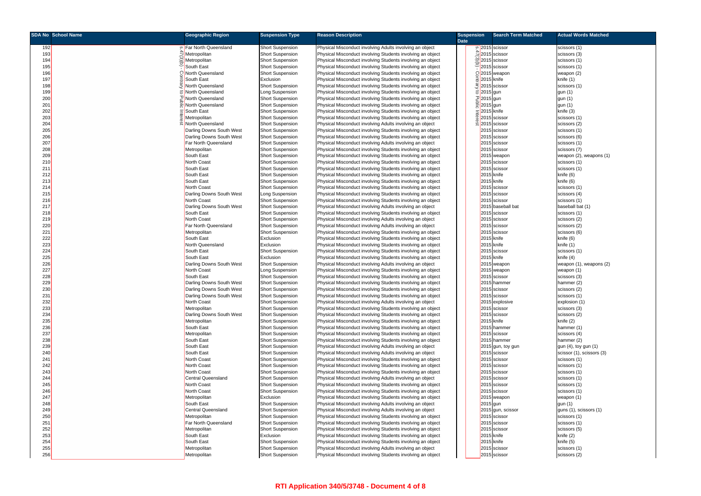|            | <b>SDA No School Name</b> | <b>Geographic Region</b>                | <b>Suspension Type</b>                             | <b>Reason Description</b>                                                                                                | <b>Suspension</b> | <b>Search Term Matched</b>    | <b>Actual Words Matched</b>   |
|------------|---------------------------|-----------------------------------------|----------------------------------------------------|--------------------------------------------------------------------------------------------------------------------------|-------------------|-------------------------------|-------------------------------|
| 192        |                           | P Far North Queensland                  | <b>Short Suspension</b>                            | Physical Misconduct involving Adults involving an object                                                                 | <b>Date</b>       | 0 2015 scissor                | scissors (1)                  |
| 193        |                           | Metropolitan                            | <b>Short Suspension</b>                            | Physical Misconduct involving Students involving an object                                                               |                   | $\frac{4}{2}$ 2015 scissor    | scissors (3)                  |
| 194        |                           | ≌Metropolitan                           | <b>Short Suspension</b>                            | Physical Misconduct involving Students involving an object                                                               |                   | 2015 scissor                  | scissors (1)                  |
| 195        |                           | South East                              | <b>Short Suspension</b>                            | Physical Misconduct involving Students involving an object                                                               |                   | 2015 scissor                  | scissors (1)                  |
| 196        |                           | C North Queensland                      | <b>Short Suspension</b>                            | Physical Misconduct involving Students involving an object                                                               |                   | C2015 weapon                  | weapon (2)                    |
| 197        |                           | South East                              | Exclusion                                          | Physical Misconduct involving Students involving an object                                                               |                   | 2015 knife                    | knife (1)                     |
| 198        |                           | North Queensland                        | <b>Short Suspension</b>                            | Physical Misconduct involving Students involving an object                                                               |                   | 운 2015 scissor                | scissors (1)                  |
| 199        |                           | North Queensland                        | Long Suspension                                    | Physical Misconduct involving Students involving an object                                                               | <u>ರ 201</u>      | 5 gun                         | gun (1)                       |
| 200        |                           | North Queensland                        | <b>Short Suspension</b>                            | Physical Misconduct involving Students involving an object                                                               |                   | <sup>기</sup> 2015 gun         | gun (1)                       |
| 201        |                           | North Queensland                        | <b>Short Suspension</b>                            | Physical Misconduct involving Students involving an object                                                               |                   | $\frac{d}{dx}$ 2015 gun       | gun (1)                       |
| 202        |                           | South East                              | <b>Short Suspension</b>                            | Physical Misconduct involving Students involving an object                                                               |                   | $\frac{1}{2}$ 2015 knife      | knife (3)                     |
| 203        |                           | Metropolitan                            | <b>Short Suspension</b>                            | Physical Misconduct involving Students involving an object                                                               |                   | 2015 scissor                  | scissors (1)                  |
| 204        |                           | North Queensland                        | <b>Short Suspension</b>                            | Physical Misconduct involving Adults involving an object                                                                 |                   | $\frac{\alpha}{2015}$ scissor | scissors (2)                  |
| 205        |                           | Darling Downs South West                | <b>Short Suspension</b>                            | Physical Misconduct involving Students involving an object                                                               |                   | 2015 scissor                  | scissors (1)                  |
| 206        |                           | Darling Downs South West                | <b>Short Suspension</b>                            | Physical Misconduct involving Students involving an object                                                               |                   | 2015 scissor                  | scissors (6)                  |
| 207        |                           | Far North Queensland                    | <b>Short Suspension</b>                            | Physical Misconduct involving Adults involving an object                                                                 |                   | 2015 scissor                  | scissors (1)                  |
| 208        |                           | Metropolitan                            | <b>Short Suspension</b>                            | Physical Misconduct involving Students involving an object                                                               |                   | 2015 scissor                  | scissors (7)                  |
| 209        |                           | South East                              | <b>Short Suspension</b>                            | Physical Misconduct involving Students involving an object                                                               |                   | 2015 weapon                   | weapon (2), weapons (1)       |
| 210        |                           | North Coast<br>South East               | <b>Short Suspension</b>                            | Physical Misconduct involving Students involving an object                                                               |                   | 2015 scissor                  | scissors (1)                  |
| 211<br>212 |                           | South East                              | <b>Short Suspension</b><br><b>Short Suspension</b> | Physical Misconduct involving Students involving an object<br>Physical Misconduct involving Students involving an object |                   | 2015 scissor<br>2015 knife    | scissors (1)<br>knife (6)     |
| 213        |                           | South East                              | <b>Short Suspension</b>                            | Physical Misconduct involving Students involving an object                                                               |                   | 2015 knife                    | knife (6)                     |
| 214        |                           | North Coast                             | <b>Short Suspension</b>                            | Physical Misconduct involving Students involving an object                                                               |                   | 2015 scissor                  | scissors (1)                  |
| 215        |                           | Darling Downs South West                | Long Suspension                                    | Physical Misconduct involving Students involving an object                                                               |                   | 2015 scissor                  | scissors (4)                  |
| 216        |                           | <b>North Coast</b>                      | <b>Short Suspension</b>                            | Physical Misconduct involving Students involving an object                                                               |                   | 2015 scissor                  | scissors (1)                  |
| 217        |                           | Darling Downs South West                | <b>Short Suspension</b>                            | Physical Misconduct involving Adults involving an object                                                                 |                   | 2015 baseball bat             | baseball bat (1)              |
| 218        |                           | South East                              | <b>Short Suspension</b>                            | Physical Misconduct involving Students involving an object                                                               |                   | 2015 scissor                  | scissors (1)                  |
| 219        |                           | <b>North Coast</b>                      | <b>Short Suspension</b>                            | Physical Misconduct involving Adults involving an object                                                                 |                   | 2015 scissor                  | scissors (2)                  |
| 220        |                           | Far North Queensland                    | <b>Short Suspension</b>                            | Physical Misconduct involving Adults involving an object                                                                 |                   | 2015 scissor                  | scissors (2)                  |
| 221        |                           | Metropolitan                            | <b>Short Suspension</b>                            | Physical Misconduct involving Students involving an object                                                               |                   | 2015 scissor                  | scissors (6)                  |
| 222        |                           | South East                              | Exclusion                                          | Physical Misconduct involving Students involving an object                                                               |                   | 2015 knife                    | knife (6)                     |
| 223        |                           | North Queensland                        | Exclusion                                          | Physical Misconduct involving Students involving an object                                                               |                   | 2015 knife                    | knife (1)                     |
| 224        |                           | South East                              | <b>Short Suspension</b>                            | Physical Misconduct involving Students involving an object                                                               |                   | 2015 scissor                  | scissors (1)                  |
| 225        |                           | South East                              | Exclusion                                          | Physical Misconduct involving Students involving an object                                                               |                   | 2015 knife                    | knife (4)                     |
| 226        |                           | Darling Downs South West                | <b>Short Suspension</b>                            | Physical Misconduct involving Adults involving an object                                                                 |                   | 2015 weapon                   | weapon (1), weapons (2)       |
| 227        |                           | <b>North Coast</b>                      | Long Suspension                                    | Physical Misconduct involving Students involving an object                                                               |                   | 2015 weapon                   | weapon (1)                    |
| 228        |                           | South East                              | <b>Short Suspension</b>                            | Physical Misconduct involving Students involving an object                                                               |                   | 2015 scissor                  | scissors (3)                  |
| 229        |                           | Darling Downs South West                | <b>Short Suspension</b>                            | Physical Misconduct involving Students involving an object                                                               | 201               | hammer                        | hammer (2)                    |
| 230<br>231 |                           | Darling Downs South West                | <b>Short Suspension</b><br>Short Suspension        | Physical Misconduct involving Students involving an object                                                               |                   | 2015 scissor<br>2015 scissor  | scissors (2)                  |
| 232        |                           | Darling Downs South West<br>North Coast | <b>Short Suspension</b>                            | Physical Misconduct involving Students involving an object<br>Physical Misconduct involving Adults involving an object   |                   | 2015 explosive                | scissors (1)                  |
| 233        |                           | Metropolitan                            | <b>Short Suspension</b>                            | Physical Misconduct involving Students involving an object                                                               |                   | 2015 scissor                  | explosion (1)<br>scissors (3) |
| 234        |                           | Darling Downs South West                | <b>Short Suspension</b>                            | Physical Misconduct involving Students involving an object                                                               |                   | 2015 scissor                  | scissors (2)                  |
| 235        |                           | Metropolitan                            | <b>Short Suspension</b>                            | Physical Misconduct involving Students involving an object                                                               |                   | $2015$ knife                  | knife (2)                     |
| 236        |                           | South East                              | <b>Short Suspension</b>                            | Physical Misconduct involving Students involving an object                                                               |                   | 2015 hammer                   | hammer (1)                    |
| 237        |                           | Metropolitan                            | <b>Short Suspension</b>                            | Physical Misconduct involving Students involving an object                                                               |                   | 2015 scissor                  | scissors (4)                  |
| 238        |                           | South East                              | <b>Short Suspension</b>                            | Physical Misconduct involving Students involving an object                                                               |                   | 2015 hammer                   | hammer (2)                    |
| 239        |                           | South East                              | <b>Short Suspension</b>                            | Physical Misconduct involving Adults involving an object                                                                 |                   | $2015$ gun, toy gun           | gun (4), toy gun (1)          |
| 240        |                           | South East                              | <b>Short Suspension</b>                            | Physical Misconduct involving Adults involving an object                                                                 |                   | 2015 scissor                  | scissor (1), scissors (3)     |
| 241        |                           | North Coast                             | <b>Short Suspension</b>                            | Physical Misconduct involving Students involving an object                                                               |                   | 2015 scissor                  | scissors (1)                  |
| 242        |                           | <b>North Coast</b>                      | <b>Short Suspension</b>                            | Physical Misconduct involving Students involving an object                                                               |                   | 2015 scissor                  | scissors (1)                  |
| 243        |                           | North Coast                             | <b>Short Suspension</b>                            | Physical Misconduct involving Students involving an object                                                               |                   | 2015 scissor                  | scissors (1)                  |
| 244        |                           | <b>Central Queensland</b>               | <b>Short Suspension</b>                            | Physical Misconduct involving Adults involving an object                                                                 |                   | 2015 scissor                  | scissors (1)                  |
| 245        |                           | North Coast                             | <b>Short Suspension</b>                            | Physical Misconduct involving Students involving an object                                                               |                   | 2015 scissor                  | scissors (1)                  |
| 246        |                           | <b>North Coast</b>                      | <b>Short Suspension</b>                            | Physical Misconduct involving Students involving an object                                                               |                   | 2015 scissor                  | scissors (1)                  |
| 247        |                           | Metropolitan                            | Exclusion                                          | Physical Misconduct involving Students involving an object                                                               |                   | 2015 weapon                   | weapon (1)                    |
| 248        |                           | South East                              | <b>Short Suspension</b>                            | Physical Misconduct involving Adults involving an object                                                                 |                   | $2015$ gun                    | gun (1)                       |
| 249        |                           | <b>Central Queensland</b>               | <b>Short Suspension</b>                            | Physical Misconduct involving Adults involving an object                                                                 |                   | 2015 gun, scissor             | guns (1), scissors (1)        |
| 250        |                           | Metropolitan<br>Far North Queensland    | Short Suspension                                   | Physical Misconduct involving Students involving an object                                                               |                   | 2015 scissor<br>2015 scissor  | scissors (1)                  |
| 251<br>252 |                           | Metropolitan                            | <b>Short Suspension</b><br><b>Short Suspension</b> | Physical Misconduct involving Students involving an object<br>Physical Misconduct involving Students involving an object |                   | 2015 scissor                  | scissors (1)<br>scissors (5)  |
| 253        |                           | South East                              | Exclusion                                          | Physical Misconduct involving Students involving an object                                                               |                   | 2015 knife                    | knife (2)                     |
| 254        |                           | South East                              | <b>Short Suspension</b>                            | Physical Misconduct involving Students involving an object                                                               |                   | 2015 knife                    | knife (5)                     |
| 255        |                           | Metropolitan                            | <b>Short Suspension</b>                            | Physical Misconduct involving Adults involving an object                                                                 |                   | 2015 scissor                  | scissors (1)                  |
| 256        |                           | Metropolitan                            | <b>Short Suspension</b>                            | Physical Misconduct involving Students involving an object                                                               |                   | 2015 scissor                  | scissors (2)                  |
|            |                           |                                         |                                                    |                                                                                                                          |                   |                               |                               |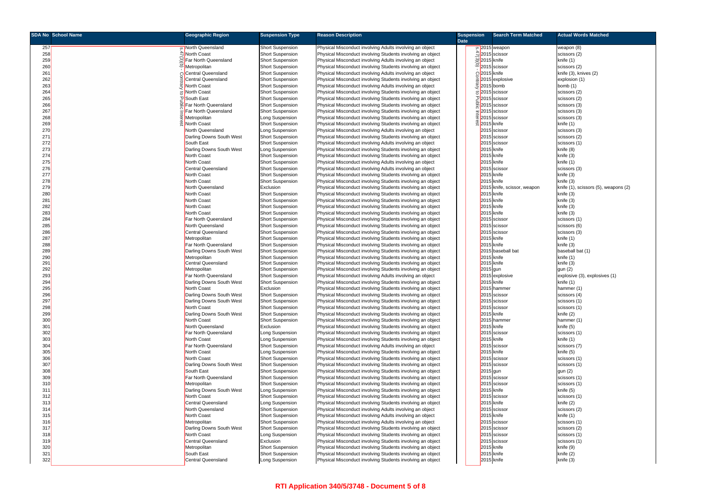| <b>SDA No School Name</b> | <b>Geographic Region</b>  | <b>Suspension Type</b>                             | <b>Reason Description</b>                                  | <b>Suspension</b> | <b>Search Term Matched</b>             | <b>Actual Words Matched</b>          |
|---------------------------|---------------------------|----------------------------------------------------|------------------------------------------------------------|-------------------|----------------------------------------|--------------------------------------|
|                           |                           |                                                    |                                                            | <b>Date</b>       |                                        |                                      |
| 257                       | Morth Queensland          | <b>Short Suspension</b>                            | Physical Misconduct involving Adults involving an object   |                   | $\omega$ 2015 weapon                   | weapon (8)                           |
| 258                       | ☆North Coast              | <b>Short Suspension</b>                            | Physical Misconduct involving Students involving an object |                   | $\frac{4}{2}$ 2015 scissor             | scissors (2)                         |
| 259                       | Far North Queensland      | <b>Short Suspension</b>                            | Physical Misconduct involving Adults involving an object   |                   | $\frac{10}{2}$ 2015 knife              | knife (1)                            |
| 260                       | Metropolitan              | <b>Short Suspension</b>                            | Physical Misconduct involving Students involving an object |                   | $\overline{\overline{C}}$ 2015 scissor | scissors (2)                         |
| 261                       | ිCentral Queensland       | <b>Short Suspension</b>                            | Physical Misconduct involving Adults involving an object   |                   | O2015 knife                            | knife (3), knives (2)                |
| 262                       | <b>Central Queensland</b> | <b>Short Suspension</b>                            | Physical Misconduct involving Students involving an object |                   | 글 2015 explosive                       | explosion (1)                        |
| 263                       | <b>North Coast</b>        | <b>Short Suspension</b>                            | Physical Misconduct involving Adults involving an object   |                   | $\frac{3}{5}$ 2015 bomb                | bomb $(1)$                           |
| 264                       | North Coast               | <b>Short Suspension</b>                            | Physical Misconduct involving Students involving an object |                   | 5 <sup>2015</sup> scissor              | scissors (2)                         |
| 265                       | ঢ় South East             | <b>Short Suspension</b>                            | Physical Misconduct involving Students involving an object |                   | 고 <mark>2015</mark> scissor            | scissors (2)                         |
| 266                       | Far North Queensland      | <b>Short Suspension</b>                            | Physical Misconduct involving Students involving an object |                   | $\frac{2015}{5}$ 2015 scissor          | scissors (3)                         |
| 267                       | Far North Queensland      | <b>Short Suspension</b>                            | Physical Misconduct involving Students involving an object |                   | $\frac{1}{2}$ 2015 scissor             | scissors (3)                         |
| 268                       | Metropolitan              | Long Suspension                                    | Physical Misconduct involving Students involving an object |                   | $\frac{\overline{p}}{2}$ 2015 scissor  | scissors (3)                         |
| 269                       | North Coast               | <b>Short Suspension</b>                            | Physical Misconduct involving Students involving an object |                   | g 2015 knife                           | knife (1)                            |
| 270                       | North Queensland          | Long Suspension                                    | Physical Misconduct involving Adults involving an object   |                   | 2015 scissor                           | scissors (3)                         |
| 271                       | Darling Downs South West  | <b>Short Suspension</b>                            | Physical Misconduct involving Students involving an object |                   | 2015 scissor                           | scissors (2)                         |
| 272                       | South East                | <b>Short Suspension</b>                            | Physical Misconduct involving Adults involving an object   |                   | 2015 scissor                           | scissors (1)                         |
| 273                       | Darling Downs South West  | Long Suspension                                    | Physical Misconduct involving Students involving an object |                   | 2015 knife                             | knife (8)                            |
| 274                       | North Coast               | <b>Short Suspension</b>                            | Physical Misconduct involving Students involving an object |                   | 2015 knife                             | knife (3)                            |
| 275                       | <b>North Coast</b>        | <b>Short Suspension</b>                            | Physical Misconduct involving Adults involving an object   |                   | 2015 knife                             | knife (1)                            |
| 276                       | <b>Central Queensland</b> | <b>Short Suspension</b>                            | Physical Misconduct involving Adults involving an object   |                   | 2015 scissor                           | scissors (3)                         |
| 277                       | <b>North Coast</b>        |                                                    | Physical Misconduct involving Students involving an object |                   | 5 knife                                | knife (3)                            |
| 278                       | North Coast               | <b>Short Suspension</b><br><b>Short Suspension</b> |                                                            |                   | 201<br>2015 knife                      | knife (3)                            |
|                           |                           |                                                    | Physical Misconduct involving Students involving an object |                   |                                        |                                      |
| 279                       | North Queensland          | Exclusion                                          | Physical Misconduct involving Students involving an object |                   | 201<br>knife, scissor, weapon          | knife (1), scissors (5), weapons (2) |
| 280                       | North Coast               | <b>Short Suspension</b>                            | Physical Misconduct involving Students involving an object |                   | 2015 knife                             | knife (3)                            |
| 281                       | <b>North Coast</b>        | <b>Short Suspension</b>                            | Physical Misconduct involving Students involving an object |                   | 5 knife<br>2015                        | knife (3)                            |
| 282                       | North Coast               | <b>Short Suspension</b>                            | Physical Misconduct involving Students involving an object |                   | 2015 knife                             | knife (3)                            |
| 283                       | North Coast               | <b>Short Suspension</b>                            | Physical Misconduct involving Students involving an object |                   | 2015 knife                             | knife (3)                            |
| 284                       | Far North Queensland      | <b>Short Suspension</b>                            | Physical Misconduct involving Students involving an object |                   | scissor<br>201                         | scissors (1)                         |
| 285                       | North Queensland          | <b>Short Suspension</b>                            | Physical Misconduct involving Students involving an object |                   | 2015 scissor                           | scissors (6)                         |
| 286                       | Central Queensland        | <b>Short Suspension</b>                            | Physical Misconduct involving Students involving an object |                   | 2015 scissor                           | scissors (3)                         |
| 287                       | Metropolitan              | <b>Short Suspension</b>                            | Physical Misconduct involving Students involving an object |                   | 2015 knife                             | knife (1)                            |
| 288                       | Far North Queensland      | <b>Short Suspension</b>                            | Physical Misconduct involving Students involving an object |                   | 2015 knife                             | knife (3)                            |
| 289                       | Darling Downs South West  | <b>Short Suspension</b>                            | Physical Misconduct involving Students involving an object |                   | 201<br>5 baseball bat                  | baseball bat (1)                     |
| 290                       | Metropolitan              | <b>Short Suspension</b>                            | Physical Misconduct involving Students involving an object |                   | 2015 knife                             | knife (1)                            |
| 291                       | Central Queensland        | <b>Short Suspension</b>                            | Physical Misconduct involving Students involving an object |                   | 2015 knife                             | knife (3)                            |
| 292                       | Metropolitan              | <b>Short Suspension</b>                            | Physical Misconduct involving Students involving an object |                   | 2015 gun                               | gun (2)                              |
| 293                       | Far North Queensland      | <b>Short Suspension</b>                            | Physical Misconduct involving Adults involving an object   |                   | 2015 explosive                         | explosive (3), explosives (1)        |
| 294                       | Darling Downs South West  | <b>Short Suspension</b>                            | Physical Misconduct involving Students involving an object |                   | 2015 knife                             | knife (1)                            |
| 295                       | <b>North Coast</b>        | Exclusion                                          | Physical Misconduct involving Students involving an object |                   | 2015 hammer                            | hammer (1)                           |
| 296                       | Darling Downs South West  | <b>Short Suspension</b>                            | Physical Misconduct involving Students involving an object |                   | 2015 scissor                           | scissors (4)                         |
| 297                       | Darling Downs South West  | <b>Short Suspension</b>                            | Physical Misconduct involving Students involving an object |                   | 2015 scissor                           | scissors (1)                         |
| 298                       | <b>North Coast</b>        | <b>Short Suspension</b>                            | Physical Misconduct involving Students involving an object |                   | 2015 scissor                           | scissors (1)                         |
| 299                       | Darling Downs South West  | <b>Short Suspension</b>                            | Physical Misconduct involving Students involving an object |                   | 2015 knife                             | knife (2)                            |
| 300                       | North Coast               | <b>Short Suspension</b>                            | Physical Misconduct involving Students involving an object |                   | 2015 hammer                            | hammer (1)                           |
| 301                       | North Queensland          | Exclusion                                          | Physical Misconduct involving Students involving an object |                   | 2015 knife                             | knife (5)                            |
| 302                       | Far North Queensland      | Long Suspension                                    | Physical Misconduct involving Students involving an object |                   | 2015 scissor                           | scissors (1)                         |
| 303                       | North Coast               | Long Suspension                                    | Physical Misconduct involving Students involving an object |                   | 2015 knife                             | knife (1)                            |
| 304                       | Far North Queensland      | <b>Short Suspension</b>                            | Physical Misconduct involving Adults involving an object   |                   | 2015 scissor                           | scissors (7)                         |
| 305                       | North Coast               | Long Suspension                                    | Physical Misconduct involving Students involving an object |                   | $2015$ knife                           | knife (5)                            |
| 306                       | North Coast               | <b>Short Suspension</b>                            | Physical Misconduct involving Students involving an object |                   | 2015 scissor                           | scissors (1)                         |
| 307                       | Darling Downs South West  | <b>Short Suspension</b>                            | Physical Misconduct involving Students involving an object |                   | 2015 scissor                           | scissors (1)                         |
| 308                       | South East                | <b>Short Suspension</b>                            | Physical Misconduct involving Students involving an object |                   | 2015 gun                               | gun (2)                              |
| 309                       | Far North Queensland      | <b>Short Suspension</b>                            | Physical Misconduct involving Students involving an object |                   | 2015 scissor                           | scissors (1)                         |
| 310                       | Metropolitan              | <b>Short Suspension</b>                            | Physical Misconduct involving Students involving an object |                   | 2015 scissor                           | scissors (1)                         |
| 311                       | Darling Downs South West  | Long Suspension                                    | Physical Misconduct involving Students involving an object |                   | 2015 knife                             | knife (5)                            |
| 312                       | North Coast               | <b>Short Suspension</b>                            | Physical Misconduct involving Students involving an object |                   | 2015 scissor                           | scissors (1)                         |
| 313                       | Central Queensland        | Long Suspension                                    | Physical Misconduct involving Students involving an object |                   | 2015 knife                             | knife (2)                            |
| 314                       | North Queensland          | <b>Short Suspension</b>                            | Physical Misconduct involving Adults involving an object   |                   | 2015 scissor                           | scissors (2)                         |
| 315                       | North Coast               | <b>Short Suspension</b>                            | Physical Misconduct involving Adults involving an object   |                   | 2015 knife                             | knife (1)                            |
| 316                       | Metropolitan              | <b>Short Suspension</b>                            | Physical Misconduct involving Adults involving an object   |                   | 2015 scissor                           | scissors (1)                         |
| 317                       | Darling Downs South West  | <b>Short Suspension</b>                            | Physical Misconduct involving Students involving an object |                   | 2015 scissor                           | scissors (2)                         |
| 318                       | North Coast               | Long Suspension                                    | Physical Misconduct involving Students involving an object |                   | 2015 scissor                           | scissors (1)                         |
| 319                       | Central Queensland        | Exclusion                                          | Physical Misconduct involving Students involving an object |                   | 2015 scissor                           | scissors (1)                         |
| 320                       | Metropolitan              | <b>Short Suspension</b>                            | Physical Misconduct involving Students involving an object |                   | 2015 knife                             | knife (9)                            |
| 321                       | South East                | <b>Short Suspension</b>                            | Physical Misconduct involving Students involving an object |                   | 2015 knife                             | knife (2)                            |
| 322                       | Central Queensland        | Long Suspension                                    | Physical Misconduct involving Students involving an object |                   | 2015 knife                             | knife (3)                            |
|                           |                           |                                                    |                                                            |                   |                                        |                                      |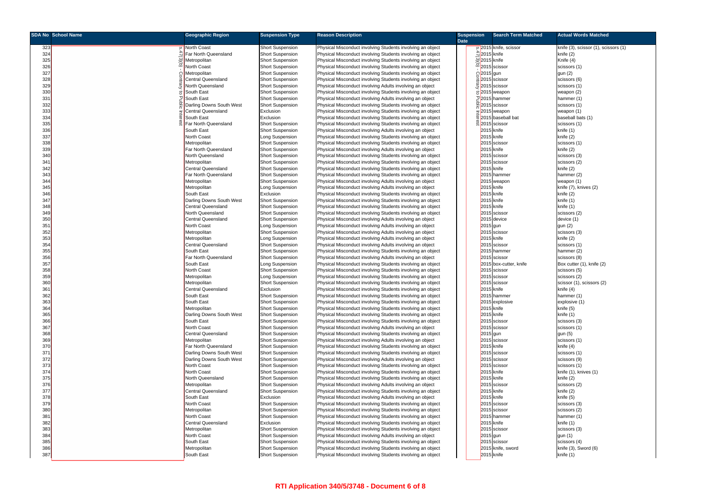|            | <b>SDA No School Name</b> | <b>Geographic Region</b>                              | <b>Suspension Type</b>                             | <b>Reason Description</b>                                                                                                | <b>Suspension</b> |                             | <b>Search Term Matched</b>           | <b>Actual Words Matched</b>          |
|------------|---------------------------|-------------------------------------------------------|----------------------------------------------------|--------------------------------------------------------------------------------------------------------------------------|-------------------|-----------------------------|--------------------------------------|--------------------------------------|
|            |                           |                                                       |                                                    |                                                                                                                          | <b>Date</b>       |                             |                                      |                                      |
| 323        |                           | North Coast                                           | <b>Short Suspension</b>                            | Physical Misconduct involving Students involving an object                                                               |                   |                             | 0 2015 knife, scissor                | knife (3), scissor (1), scissors (1) |
| 324        |                           | Far North Queensland                                  | <b>Short Suspension</b>                            | Physical Misconduct involving Students involving an object                                                               |                   | $\frac{4}{2}$ 2015 knife    |                                      | knife (2)                            |
| 325        |                           | Metropolitan                                          | <b>Short Suspension</b>                            | Physical Misconduct involving Students involving an object                                                               |                   | 2015 knife                  |                                      | Knife (4)                            |
| 326        |                           | <b>North Coast</b>                                    | Short Suspension                                   | Physical Misconduct involving Students involving an object                                                               |                   | $\overline{C}$ 2015 scissor |                                      | scissors (1)                         |
| 327        |                           | Metropolitan                                          | <b>Short Suspension</b>                            | Physical Misconduct involving Students involving an object                                                               |                   | C <sub>2015</sub> gun       |                                      | gun (2)                              |
| 328        |                           | Central Queensland                                    | <b>Short Suspension</b>                            | Physical Misconduct involving Students involving an object                                                               |                   |                             | 흑 2015 scissor                       | scissors (6)                         |
| 329        |                           | North Queensland                                      | <b>Short Suspension</b>                            | Physical Misconduct involving Adults involving an object                                                                 |                   |                             | 말 2015 scissor                       | scissors (1)                         |
| 330<br>331 |                           | <b>South East</b><br><b>South East</b>                | <b>Short Suspension</b><br><b>Short Suspension</b> | Physical Misconduct involving Students involving an object<br>Physical Misconduct involving Adults involving an object   |                   |                             | $\sigma$ 2015 weapon<br>고2015 hammer | weapon (2)                           |
| 332        |                           | Darling Downs South West                              | <b>Short Suspension</b>                            | Physical Misconduct involving Students involving an object                                                               |                   |                             | $\frac{60}{5}$ 2015 scissor          | hammer (1)<br>scissors (1)           |
| 333        |                           | Central Queensland                                    | Exclusion                                          | Physical Misconduct involving Students involving an object                                                               |                   |                             | $=$ 2015 weapon                      | weapon (1)                           |
| 334        |                           | South East                                            | Exclusion                                          | Physical Misconduct involving Students involving an object                                                               |                   |                             | 학 2015 baseball bat                  | baseball bats (1)                    |
| 335        |                           | Far North Queensland                                  | <b>Short Suspension</b>                            | Physical Misconduct involving Students involving an object                                                               |                   | 2015 scissor                |                                      | scissors (1)                         |
| 336        |                           | South East                                            | <b>Short Suspension</b>                            | Physical Misconduct involving Adults involving an object                                                                 |                   |                             | 2015 knife                           | knife (1)                            |
| 337        |                           | North Coast                                           | Long Suspension                                    | Physical Misconduct involving Students involving an object                                                               |                   | 2015 knife                  |                                      | knife (2)                            |
| 338        |                           | Metropolitan                                          | <b>Short Suspension</b>                            | Physical Misconduct involving Students involving an object                                                               |                   |                             | 2015 scissor                         | scissors (1)                         |
| 339        |                           | Far North Queensland                                  | <b>Short Suspension</b>                            | Physical Misconduct involving Adults involving an object                                                                 |                   |                             | 2015 knife                           | knife (2)                            |
| 340        |                           | North Queensland                                      | <b>Short Suspension</b>                            | Physical Misconduct involving Students involving an object                                                               |                   |                             | 2015 scissor                         | scissors (3)                         |
| 341        |                           | Metropolitan                                          | <b>Short Suspension</b>                            | Physical Misconduct involving Students involving an object                                                               |                   |                             | 2015 scissor                         | scissors (2)                         |
| 342        |                           | <b>Central Queensland</b>                             | <b>Short Suspension</b>                            | Physical Misconduct involving Students involving an object                                                               |                   |                             | 2015 knife                           | knife (2)                            |
| 343        |                           | Far North Queensland                                  | <b>Short Suspension</b>                            | Physical Misconduct involving Students involving an object                                                               |                   |                             | 2015 hammer                          | hammer (2)                           |
| 344        |                           | Metropolitan                                          | <b>Short Suspension</b>                            | Physical Misconduct involving Adults involving an object                                                                 |                   |                             | 2015 weapon                          | weapon (1)                           |
| 345        |                           | Metropolitan                                          | Long Suspension                                    | Physical Misconduct involving Adults involving an object                                                                 |                   | 2015 knife                  |                                      | knife (7), knives (2)                |
| 346        |                           | South East                                            | Exclusion<br>Short Suspension                      | Physical Misconduct involving Students involving an object                                                               |                   | 2015 knife                  |                                      | knife (2)                            |
| 347<br>348 |                           | Darling Downs South West<br><b>Central Queensland</b> |                                                    | Physical Misconduct involving Students involving an object<br>Physical Misconduct involving Students involving an object |                   | 2015 knife                  | 2015 knife                           | knife (1)<br>knife (1)               |
| 349        |                           | North Queensland                                      | <b>Short Suspension</b><br><b>Short Suspension</b> | Physical Misconduct involving Students involving an object                                                               |                   |                             | 2015 scissor                         | scissors (2)                         |
| 350        |                           | Central Queensland                                    | <b>Short Suspension</b>                            | Physical Misconduct involving Adults involving an object                                                                 |                   |                             | 2015 device                          | device (1)                           |
| 351        |                           | North Coast                                           | Long Suspension                                    | Physical Misconduct involving Adults involving an object                                                                 |                   | $2015$ gun                  |                                      | gun (2)                              |
| 352        |                           | Metropolitan                                          | Short Suspension                                   | Physical Misconduct involving Adults involving an object                                                                 |                   |                             | 2015 scissor                         | scissors (3)                         |
| 353        |                           | Metropolitan                                          | Long Suspension                                    | Physical Misconduct involving Adults involving an object                                                                 |                   | 2015 knife                  |                                      | knife (2)                            |
| 354        |                           | <b>Central Queensland</b>                             | <b>Short Suspension</b>                            | Physical Misconduct involving Adults involving an object                                                                 |                   |                             | 2015 scissor                         | scissors (1)                         |
| 355        |                           | South East                                            | <b>Short Suspension</b>                            | Physical Misconduct involving Students involving an object                                                               |                   |                             | 2015 hammer                          | hammer (2)                           |
| 356        |                           | Far North Queensland                                  | Short Suspension                                   | Physical Misconduct involving Adults involving an object                                                                 |                   |                             | 2015 scissor                         | scissors (8)                         |
| 357        |                           | South East                                            | Long Suspension                                    | Physical Misconduct involving Students involving an object                                                               |                   |                             | 2015 box-cutter, knife               | Box cutter (1), knife (2)            |
| 358        |                           | North Coast                                           | <b>Short Suspension</b>                            | Physical Misconduct involving Students involving an object                                                               |                   |                             | 2015 scissor                         | scissors (5)                         |
| 359        |                           | Metropolitan                                          | Long Suspension                                    | Physical Misconduct involving Students involving an object                                                               |                   |                             | 2015 scissor                         | scissors (2)                         |
| 360        |                           | Metropolitan                                          | <b>Short Suspension</b>                            | Physical Misconduct involving Students involving an object                                                               |                   |                             | 2015 scissor                         | scissor (1), scissors (2)            |
| 361        |                           | <b>Central Queensland</b>                             | Exclusion                                          | Physical Misconduct involving Students involving an object                                                               |                   |                             | 2015 knife                           | knife (4)                            |
| 362        |                           | South East                                            | Short Suspension                                   | Physical Misconduct involving Students involving an object                                                               |                   |                             | 2015 hammer                          | hammer (1)                           |
| 363        |                           | South East                                            | <b>Short Suspension</b>                            | Physical Misconduct involving Students involving an object                                                               |                   |                             | 2015 explosive                       | explosive (1)                        |
| 364<br>365 |                           | Metropolitan                                          | <b>Short Suspension</b>                            | Physical Misconduct involving Students involving an object                                                               |                   | 2015 knife                  | 2015 knife                           | knife (5)                            |
| 366        |                           | Darling Downs South West<br>South East                | <b>Short Suspension</b><br><b>Short Suspension</b> | Physical Misconduct involving Students involving an object<br>Physical Misconduct involving Students involving an object |                   |                             | 2015 scissor                         | knife (1)<br>scissors (3)            |
| 367        |                           | North Coast                                           | <b>Short Suspension</b>                            | Physical Misconduct involving Adults involving an object                                                                 |                   |                             | 2015 scissor                         | scissors (1)                         |
| 368        |                           | <b>Central Queensland</b>                             | <b>Short Suspension</b>                            | Physical Misconduct involving Students involving an object                                                               |                   | 2015 gun                    |                                      | gun (5)                              |
| 369        |                           | Metropolitan                                          | <b>Short Suspension</b>                            | Physical Misconduct involving Adults involving an object                                                                 |                   |                             | 2015 scissor                         | scissors (1)                         |
| 370        |                           | Far North Queensland                                  | <b>Short Suspension</b>                            | Physical Misconduct involving Students involving an object                                                               |                   |                             | 2015 knife                           | knife (4)                            |
| 371        |                           | Darling Downs South West                              | <b>Short Suspension</b>                            | Physical Misconduct involving Students involving an object                                                               |                   |                             | 2015 scissor                         | scissors (1)                         |
| 372        |                           | Darling Downs South West                              | <b>Short Suspension</b>                            | Physical Misconduct involving Adults involving an object                                                                 |                   |                             | 2015 scissor                         | scissors (9)                         |
| 373        |                           | North Coast                                           | <b>Short Suspension</b>                            | Physical Misconduct involving Students involving an object                                                               |                   |                             | 2015 scissor                         | scissors (1)                         |
| 374        |                           | North Coast                                           | <b>Short Suspension</b>                            | Physical Misconduct involving Students involving an object                                                               |                   |                             | 2015 knife                           | knife (1), knives (1)                |
| 375        |                           | North Queensland                                      | <b>Short Suspension</b>                            | Physical Misconduct involving Students involving an object                                                               |                   |                             | 2015 knife                           | knife (2)                            |
| 376        |                           | Metropolitan                                          | Short Suspension                                   | Physical Misconduct involving Adults involving an object                                                                 |                   |                             | 2015 scissor                         | scissors (2)                         |
| 377        |                           | Central Queensland                                    | Short Suspension                                   | Physical Misconduct involving Students involving an object                                                               |                   |                             | 2015 knife                           | knife (2)                            |
| 378        |                           | South East                                            | Exclusion                                          | Physical Misconduct involving Adults involving an object                                                                 |                   | 2015 knife                  |                                      | knife (5)                            |
| 379        |                           | North Coast                                           | <b>Short Suspension</b>                            | Physical Misconduct involving Students involving an object                                                               |                   |                             | 2015 scissor                         | scissors (3)                         |
| 380        |                           | Metropolitan                                          | <b>Short Suspension</b>                            | Physical Misconduct involving Students involving an object                                                               |                   |                             | 2015 scissor                         | scissors (2)                         |
| 381<br>382 |                           | North Coast<br>Central Queensland                     | <b>Short Suspension</b><br>Exclusion               | Physical Misconduct involving Students involving an object<br>Physical Misconduct involving Students involving an object |                   |                             | 2015 hammer<br>2015 knife            | hammer (1)<br>knife (1)              |
| 383        |                           | Metropolitan                                          | <b>Short Suspension</b>                            | Physical Misconduct involving Students involving an object                                                               |                   |                             | 2015 scissor                         | scissors (3)                         |
| 384        |                           | North Coast                                           | <b>Short Suspension</b>                            | Physical Misconduct involving Adults involving an object                                                                 |                   | 2015 gun                    |                                      | gun (1)                              |
| 385        |                           | South East                                            | <b>Short Suspension</b>                            | Physical Misconduct involving Students involving an object                                                               |                   |                             | 2015 scissor                         | scissors (4)                         |
| 386        |                           | Metropolitan                                          | <b>Short Suspension</b>                            | Physical Misconduct involving Students involving an object                                                               |                   |                             | 2015 knife, sword                    | knife (3), Sword (6)                 |
| 387        |                           | South East                                            | <b>Short Suspension</b>                            | Physical Misconduct involving Students involving an object                                                               |                   |                             | 2015 knife                           | knife (1)                            |
|            |                           |                                                       |                                                    |                                                                                                                          |                   |                             |                                      |                                      |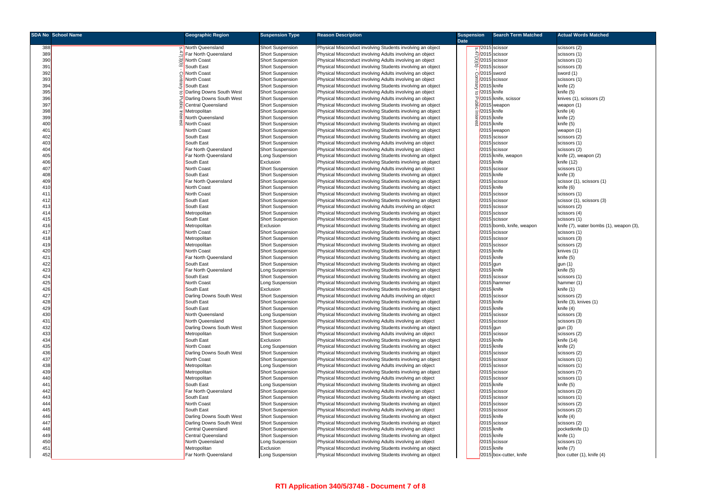|            | <b>SDA No School Name</b> | <b>Geographic Region</b>           | <b>Suspension Type</b>                     | <b>Reason Description</b>                                                                                                | <b>Suspension</b> |                                 | <b>Search Term Matched</b>  | <b>Actual Words Matched</b>             |
|------------|---------------------------|------------------------------------|--------------------------------------------|--------------------------------------------------------------------------------------------------------------------------|-------------------|---------------------------------|-----------------------------|-----------------------------------------|
|            |                           |                                    |                                            |                                                                                                                          | <b>Date</b>       |                                 |                             |                                         |
| 388        |                           | o North Queensland                 | Short Suspension                           | Physical Misconduct involving Students involving an object                                                               |                   |                                 | ຜ /2015 scissor             | scissors (2)                            |
| 389        |                           | Far North Queensland               | <b>Short Suspension</b>                    | Physical Misconduct involving Adults involving an object                                                                 |                   |                                 | <u>4/2015</u> scissor       | scissors (1)                            |
| 390        |                           | ⊠North Coast                       | Short Suspension                           | Physical Misconduct involving Adults involving an object                                                                 |                   |                                 | $\mathbb{Q}/2015$ scissor   | scissors (1)                            |
| 391        |                           | $\boxed{\circ}$ South East         | <b>Short Suspension</b>                    | Physical Misconduct involving Students involving an object                                                               |                   |                                 | $\overline{C}/2015$ scissor | scissors (3)                            |
| 392        |                           | <b>೧</b> North Coast               | <b>Short Suspension</b>                    | Physical Misconduct involving Adults involving an object                                                                 |                   |                                 | C/2015 sword                | sword (1)                               |
| 393        |                           | North Coast                        | Short Suspension                           | Physical Misconduct involving Adults involving an object                                                                 |                   |                                 | 2015 scissor                | scissors (1)                            |
| 394        |                           | South East                         | <b>Short Suspension</b>                    | Physical Misconduct involving Students involving an object                                                               |                   |                                 | /2015 knife                 | knife (2)                               |
| 395        |                           | Darling Downs South West           | <b>Short Suspension</b>                    | Physical Misconduct involving Adults involving an object                                                                 |                   | $\sigma$ <sup>/2015</sup> knife |                             | knife (5)                               |
| 396        |                           | 미 Darling Downs South West         | <b>Short Suspension</b>                    | Physical Misconduct involving Adults involving an object                                                                 |                   |                                 | 고/2015 knife, scissor       | knives (1), scissors (2)                |
| 397        |                           | Central Queensland                 | <b>Short Suspension</b>                    | Physical Misconduct involving Students involving an object                                                               |                   |                                 | $\frac{3}{2}$ /2015 weapon  | weapon (1)                              |
| 398        |                           | Metropolitan                       | <b>Short Suspension</b>                    | Physical Misconduct involving Students involving an object                                                               |                   | $\frac{1}{2}$ /2015 knife       |                             | knife (4)                               |
| 399        |                           | North Queensland                   | <b>Short Suspension</b>                    | Physical Misconduct involving Students involving an object                                                               |                   | <u>ত</u> /2015 knife            |                             | knife (2)                               |
| 400        |                           | 4 North Coast                      | <b>Short Suspension</b>                    | Physical Misconduct involving Students involving an object                                                               |                   | <sub>00</sub> 2015 knife        |                             | knife (5)                               |
| 401        |                           | North Coast                        | <b>Short Suspension</b>                    | Physical Misconduct involving Students involving an object                                                               |                   |                                 | /2015 weapon                | weapon (1)                              |
| 402        |                           | South East                         | <b>Short Suspension</b>                    | Physical Misconduct involving Students involving an object                                                               |                   |                                 | 2015 scissor                | scissors (2)                            |
| 403        |                           | South East                         | <b>Short Suspension</b>                    | Physical Misconduct involving Adults involving an object                                                                 |                   |                                 | 2015 scissor                | scissors (1)                            |
| 404        |                           | Far North Queensland               | <b>Short Suspension</b>                    | Physical Misconduct involving Adults involving an object                                                                 |                   |                                 | 2015 scissor                | scissors (2)                            |
| 405        |                           | Far North Queensland               | Long Suspension                            | Physical Misconduct involving Students involving an object                                                               |                   |                                 | /2015 knife, weapon         | knife (2), weapon (2)                   |
| 406        |                           | South East                         | Exclusion                                  | Physical Misconduct involving Students involving an object                                                               |                   |                                 | $\sqrt{2015}$ knife         | knife (12)                              |
| 407        |                           | North Coast                        | Short Suspension                           | Physical Misconduct involving Adults involving an object                                                                 |                   |                                 | 2015 scissor                | scissors (1)                            |
| 408        |                           | South East                         | Short Suspension                           | Physical Misconduct involving Students involving an object                                                               |                   |                                 | /2015 knife                 | knife (3)                               |
| 409        |                           | Far North Queensland               | <b>Short Suspension</b>                    | Physical Misconduct involving Students involving an object                                                               |                   | /2015                           | scissor                     | scissor (1), scissors (1)               |
| 410        |                           | North Coast                        | <b>Short Suspension</b>                    | Physical Misconduct involving Students involving an object                                                               |                   |                                 | 2015 knife                  | knife (6)                               |
|            |                           | North Coast                        |                                            | Physical Misconduct involving Students involving an object                                                               |                   |                                 | 2015 scissor                |                                         |
| 411        |                           |                                    | <b>Short Suspension</b>                    |                                                                                                                          |                   |                                 |                             | scissors (1)                            |
| 412        |                           | South East                         | <b>Short Suspension</b>                    | Physical Misconduct involving Students involving an object                                                               |                   |                                 | 2015 scissor                | scissor (1), scissors (3)               |
| 413        |                           | South East                         | <b>Short Suspension</b>                    | Physical Misconduct involving Adults involving an object                                                                 |                   |                                 | 2015 scissor                | scissors (2)                            |
| 414        |                           | Metropolitan                       | Short Suspension                           | Physical Misconduct involving Students involving an object                                                               |                   |                                 | 2015 scissor                | scissors (4)                            |
| 415        |                           | South East                         | <b>Short Suspension</b>                    | Physical Misconduct involving Students involving an object                                                               |                   |                                 | 2015 scissor                | scissors (1)                            |
| 416        |                           | Metropolitan                       | Exclusion                                  | Physical Misconduct involving Students involving an object                                                               |                   |                                 | /2015 bomb, knife, weapon   | knife (7), water bombs (1), weapon (3), |
| 417        |                           | North Coast                        | Short Suspension                           | Physical Misconduct involving Students involving an object                                                               |                   |                                 | 2015 scissor                | scissors (1)                            |
| 418        |                           | Metropolitan                       | Short Suspension                           | Physical Misconduct involving Students involving an object                                                               |                   |                                 | 2015 scissor                | scissors (3)                            |
| 419        |                           | Metropolitan<br>North Coast        | Short Suspension                           | Physical Misconduct involving Students involving an object                                                               |                   |                                 | 2015 scissor<br>/2015 knife | scissors (2)                            |
| 420        |                           | Far North Queensland               | <b>Short Suspension</b>                    | Physical Misconduct involving Students involving an object                                                               |                   |                                 | /2015 knife                 | knives (1)                              |
| 421        |                           |                                    | <b>Short Suspension</b>                    | Physical Misconduct involving Students involving an object                                                               |                   |                                 |                             | knife (5)                               |
| 422        |                           | South East<br>Far North Queensland | Short Suspension                           | Physical Misconduct involving Students involving an object                                                               |                   | /2015 gun                       | /2015 knife                 | gun(1)<br>knife (5)                     |
| 423<br>424 |                           | South East                         | Long Suspension                            | Physical Misconduct involving Students involving an object                                                               |                   |                                 | 5 scissor                   |                                         |
| 425        |                           | North Coast                        | <b>Short Suspension</b><br>Long Suspension | Physical Misconduct involving Students involving an object<br>Physical Misconduct involving Students involving an object |                   | /201!<br>/2015                  | hammer                      | scissors (1)<br>hammer (1)              |
| 426        |                           | South East                         | Exclusion                                  | Physical Misconduct involving Students involving an object                                                               |                   |                                 | /2015 knife                 | knife (1)                               |
| 427        |                           | Darling Downs South West           | Short Suspension                           | Physical Misconduct involving Adults involving an object                                                                 |                   |                                 | 2015 scissor                | scissors (2)                            |
| 428        |                           | South East                         | <b>Short Suspension</b>                    | Physical Misconduct involving Students involving an object                                                               |                   |                                 | /2015 knife                 | knife (3), knives (1)                   |
| 429        |                           | South East                         | <b>Short Suspension</b>                    | Physical Misconduct involving Students involving an object                                                               |                   |                                 | /2015 knife                 | knife (4)                               |
| 430        |                           | North Queensland                   | Long Suspension                            | Physical Misconduct involving Students involving an object                                                               |                   |                                 | 2015 scissor                | scissors (3)                            |
| 431        |                           | North Queensland                   | <b>Short Suspension</b>                    | Physical Misconduct involving Adults involving an object                                                                 |                   |                                 | /2015 scissor               | scissors (3)                            |
| 432        |                           | Darling Downs South West           | Short Suspension                           | Physical Misconduct involving Students involving an object                                                               |                   |                                 | /2015 gun                   | gun <sub>(3)</sub>                      |
| 433        |                           | Metropolitan                       | Short Suspension                           | Physical Misconduct involving Adults involving an object                                                                 |                   |                                 | /2015 scissor               | scissors (2)                            |
| 434        |                           | South East                         | Exclusion                                  | Physical Misconduct involving Students involving an object                                                               |                   |                                 | /2015 knife                 | knife (14)                              |
| 435        |                           | North Coast                        | Long Suspension                            | Physical Misconduct involving Students involving an object                                                               |                   |                                 | /2015 knife                 | knife (2)                               |
| 436        |                           | Darling Downs South West           | <b>Short Suspension</b>                    | Physical Misconduct involving Students involving an object                                                               |                   |                                 | /2015 scissor               | scissors (2)                            |
| 437        |                           | North Coast                        | <b>Short Suspension</b>                    | Physical Misconduct involving Students involving an object                                                               |                   |                                 | 2015 scissor                | scissors (1)                            |
| 438        |                           | Metropolitan                       | Long Suspension                            | Physical Misconduct involving Adults involving an object                                                                 |                   |                                 | 2015 scissor                | scissors (1)                            |
| 439        |                           | Metropolitan                       | <b>Short Suspension</b>                    | Physical Misconduct involving Students involving an object                                                               |                   |                                 | 2015 scissor                | scissors (7)                            |
| 440        |                           | Metropolitan                       | <b>Short Suspension</b>                    | Physical Misconduct involving Adults involving an object                                                                 |                   |                                 | 2015 scissor                | scissors (1)                            |
| 441        |                           | South East                         | Long Suspension                            | Physical Misconduct involving Students involving an object                                                               |                   |                                 | /2015 knife                 | knife (5)                               |
| 442        |                           | Far North Queensland               | <b>Short Suspension</b>                    | Physical Misconduct involving Adults involving an object                                                                 |                   |                                 | 2015 scissor                | scissors (2)                            |
| 443        |                           | South East                         | <b>Short Suspension</b>                    | Physical Misconduct involving Students involving an object                                                               |                   |                                 | 2015 scissor                | scissors (1)                            |
| 444        |                           | North Coast                        | <b>Short Suspension</b>                    | Physical Misconduct involving Students involving an object                                                               |                   |                                 | 2015 scissor                | scissors (2)                            |
| 445        |                           | South East                         | <b>Short Suspension</b>                    | Physical Misconduct involving Adults involving an object                                                                 |                   |                                 | 2015 scissor                | scissors (2)                            |
| 446        |                           | Darling Downs South West           | <b>Short Suspension</b>                    | Physical Misconduct involving Students involving an object                                                               |                   |                                 | /2015 knife                 | knife (4)                               |
| 447        |                           | Darling Downs South West           | <b>Short Suspension</b>                    | Physical Misconduct involving Students involving an object                                                               |                   |                                 | /2015 scissor               | scissors (2)                            |
| 448        |                           | <b>Central Queensland</b>          | <b>Short Suspension</b>                    | Physical Misconduct involving Adults involving an object                                                                 |                   |                                 | $\sqrt{2015}$ knife         | pocketknife (1)                         |
| 449        |                           | <b>Central Queensland</b>          | <b>Short Suspension</b>                    | Physical Misconduct involving Students involving an object                                                               |                   |                                 | $\sqrt{2015}$ knife         | knife (1)                               |
| 450        |                           | North Queensland                   | Long Suspension                            | Physical Misconduct involving Adults involving an object                                                                 |                   |                                 | 2015 scissor                | scissors (1)                            |
| 451        |                           | Metropolitan                       | Exclusion                                  | Physical Misconduct involving Students involving an object                                                               |                   |                                 | /2015 knife                 | knife (7)                               |
| 452        |                           | Far North Queensland               | Long Suspension                            | Physical Misconduct involving Students involving an object                                                               |                   |                                 | /2015 box-cutter, knife     | box cutter (1), knife (4)               |
|            |                           |                                    |                                            |                                                                                                                          |                   |                                 |                             |                                         |